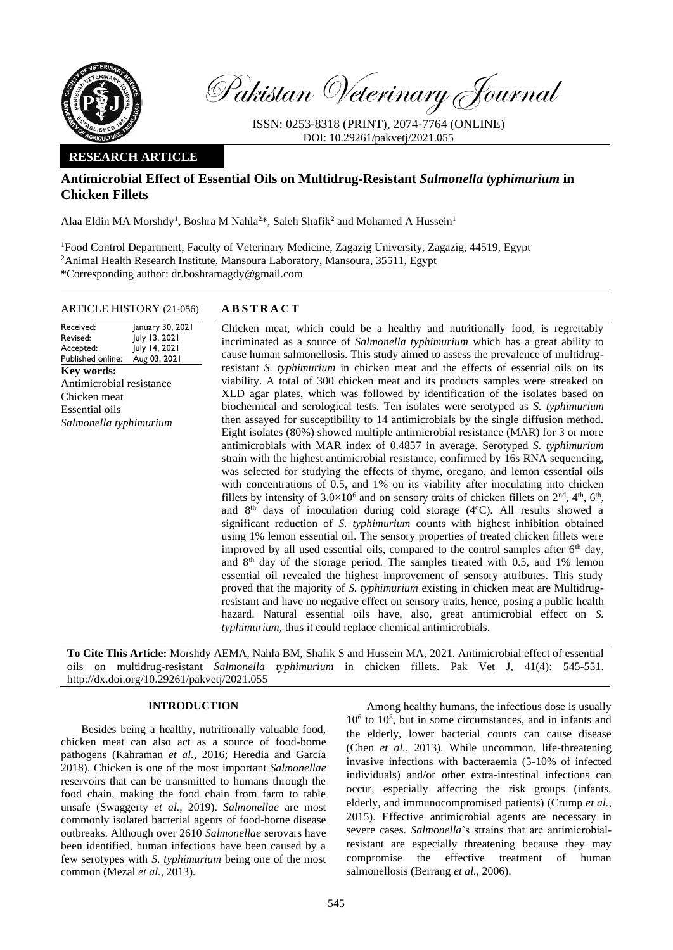

Pakistan Veterinary Journal

ISSN: 0253-8318 (PRINT), 2074-7764 (ONLINE) DOI: 10.29261/pakvetj/2021.055

## **RESEARCH ARTICLE**

# **Antimicrobial Effect of Essential Oils on Multidrug-Resistant** *Salmonella typhimurium* **in Chicken Fillets**

Alaa Eldin MA Morshdy<sup>1</sup>, Boshra M Nahla<sup>2\*</sup>, Saleh Shafik<sup>2</sup> and Mohamed A Hussein<sup>1</sup>

<sup>1</sup>Food Control Department, Faculty of Veterinary Medicine, Zagazig University, Zagazig, 44519, Egypt <sup>2</sup>Animal Health Research Institute, Mansoura Laboratory, Mansoura, 35511, Egypt \*Corresponding author: dr.boshramagdy@gmail.com

## ARTICLE HISTORY (21-056) **A B S T R A C T**

Received: Revised: Accepted: Published online:

**Key words:** 

Chicken meat Essential oils

January 30, 2021 July 13, 2021 July 14, 2021 Aug 03, 2021 Chicken meat, which could be a healthy and nutritionally food, is regrettably incriminated as a source of *Salmonella typhimurium* which has a great ability to cause human salmonellosis. This study aimed to assess the prevalence of multidrugresistant *S. typhimurium* in chicken meat and the effects of essential oils on its viability. A total of 300 chicken meat and its products samples were streaked on XLD agar plates, which was followed by identification of the isolates based on biochemical and serological tests. Ten isolates were serotyped as *S. typhimurium* then assayed for susceptibility to 14 antimicrobials by the single diffusion method. Eight isolates (80%) showed multiple antimicrobial resistance (MAR) for 3 or more antimicrobials with MAR index of 0.4857 in average. Serotyped *S. typhimurium* strain with the highest antimicrobial resistance, confirmed by 16s RNA sequencing, was selected for studying the effects of thyme, oregano, and lemon essential oils with concentrations of 0.5, and 1% on its viability after inoculating into chicken fillets by intensity of  $3.0 \times 10^6$  and on sensory traits of chicken fillets on  $2<sup>nd</sup>$ ,  $4<sup>th</sup>$ ,  $6<sup>th</sup>$ , and 8th days of inoculation during cold storage (4ºC). All results showed a significant reduction of *S. typhimurium* counts with highest inhibition obtained using 1% lemon essential oil. The sensory properties of treated chicken fillets were improved by all used essential oils, compared to the control samples after  $6<sup>th</sup>$  day, and  $8<sup>th</sup>$  day of the storage period. The samples treated with 0.5, and 1% lemon essential oil revealed the highest improvement of sensory attributes. This study proved that the majority of *S. typhimurium* existing in chicken meat are Multidrugresistant and have no negative effect on sensory traits, hence, posing a public health hazard. Natural essential oils have, also, great antimicrobial effect on *S. typhimurium*, thus it could replace chemical antimicrobials. Antimicrobial resistance *Salmonella typhimurium*

**To Cite This Article:** Morshdy AEMA, Nahla BM, Shafik S and Hussein MA, 2021. Antimicrobial effect of essential oils on multidrug-resistant *Salmonella typhimurium* in chicken fillets. Pak Vet J, 41(4): 545-551. [http://dx.doi.org/10.29261/pakvetj/2021.055](http://pvj.com.pk/pdf-files/41_4/545-551.pdf)

## **INTRODUCTION**

Besides being a healthy, nutritionally valuable food, chicken meat can also act as a source of food-borne pathogens (Kahraman *et al.,* [2016; Heredia and García](https://paperpile.com/c/e3NEDd/RxKM6+HipzE+tlEiD)  [2018\).](https://paperpile.com/c/e3NEDd/RxKM6+HipzE+tlEiD) Chicken is one of the most important *Salmonellae* reservoirs that can be transmitted to humans through the food chain, making the food chain from farm to table unsafe [\(Swaggerty](https://paperpile.com/c/e3NEDd/8zjtt+ie1gq) *et al.,* 2019). *Salmonellae* are most commonly isolated bacterial agents of food-borne disease outbreaks. Although over 2610 *Salmonellae* serovars have been identified, human infections have been caused by a few serotypes with *S. typhimurium* being one of the most commo[n \(Mezal](https://paperpile.com/c/e3NEDd/4fOK9) *et al.,* 2013)*.*

Among healthy humans, the infectious dose is usually 10<sup>6</sup> to 10<sup>8</sup> , but in some circumstances, and in infants and the elderly, lower bacterial counts can cause disease [\(Chen](https://paperpile.com/c/e3NEDd/maZa7) *et al.,* 2013). While uncommon, life-threatening invasive infections with bacteraemia (5-10% of infected individuals) and/or other extra-intestinal infections can occur, especially affecting the risk groups (infants, elderly, and immunocompromised patients) [\(Crump](https://paperpile.com/c/e3NEDd/L7o6z) *et al.,* [2015\).](https://paperpile.com/c/e3NEDd/L7o6z) Effective antimicrobial agents are necessary in severe cases. *Salmonella*'s strains that are antimicrobialresistant are especially threatening because they may compromise the effective treatment of human salmonellosi[s \(Berrang](https://paperpile.com/c/e3NEDd/Ip0uI) *et al.,* 2006).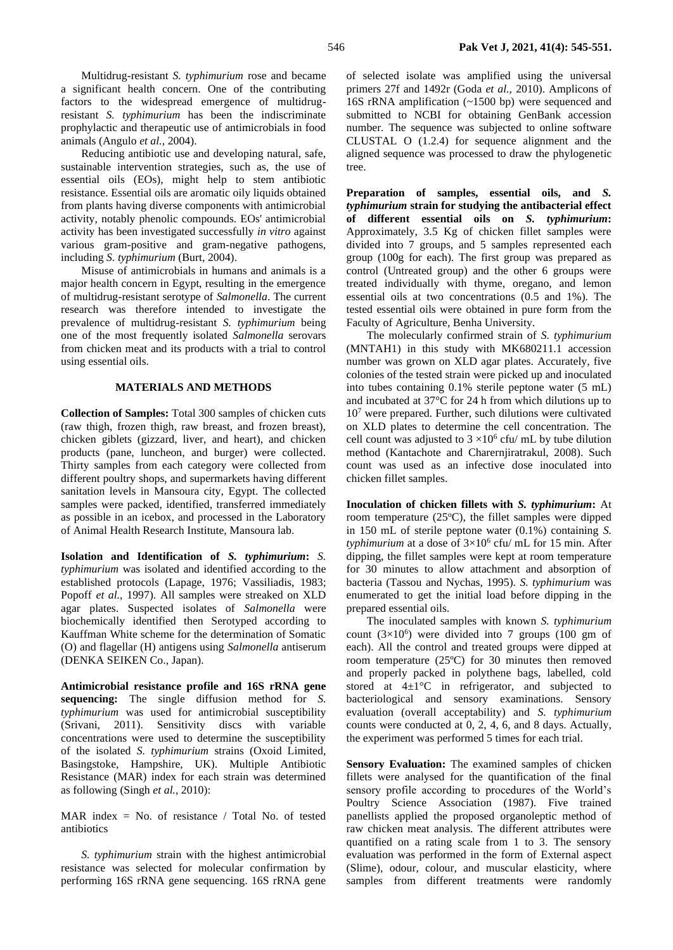Multidrug-resistant *S. typhimurium* rose and became a significant health concern. One of the contributing factors to the widespread emergence of multidrugresistant *S. typhimurium* has been the indiscriminate prophylactic and therapeutic use of antimicrobials in food animal[s \(Angulo](https://paperpile.com/c/e3NEDd/W5J32) *et al.,* 2004).

Reducing antibiotic use and developing natural, safe, sustainable intervention strategies, such as, the use of essential oils (EOs), might help to stem antibiotic resistance. Essential oils are aromatic oily liquids obtained from plants having diverse components with antimicrobial activity, notably phenolic compounds. EOs' antimicrobial activity has been investigated successfully *in vitro* against various gram-positive and gram-negative pathogens, including *S. typhimurium* [\(Burt, 2004\).](https://paperpile.com/c/e3NEDd/s8uro)

Misuse of antimicrobials in humans and animals is a major health concern in Egypt, resulting in the emergence of multidrug-resistant serotype of *Salmonella*. The current research was therefore intended to investigate the prevalence of multidrug-resistant *S. typhimurium* being one of the most frequently isolated *Salmonella* serovars from chicken meat and its products with a trial to control using essential oils.

## **MATERIALS AND METHODS**

**Collection of Samples:** Total 300 samples of chicken cuts (raw thigh, frozen thigh, raw breast, and frozen breast), chicken giblets (gizzard, liver, and heart), and chicken products (pane, luncheon, and burger) were collected. Thirty samples from each category were collected from different poultry shops, and supermarkets having different sanitation levels in Mansoura city, Egypt. The collected samples were packed, identified, transferred immediately as possible in an icebox, and processed in the Laboratory of Animal Health Research Institute, Mansoura lab.

**Isolation and Identification of** *S. typhimurium***:** *S. typhimurium* was isolated and identified according to the established protocols [\(Lapage, 1976; Vassiliadis, 1983;](https://paperpile.com/c/e3NEDd/kB1T8+jXXVJ+0Q27Y)  [Popoff](https://paperpile.com/c/e3NEDd/kB1T8+jXXVJ+0Q27Y) *et al.,* 1997). All samples were streaked on XLD agar plates. Suspected isolates of *Salmonella* were biochemically identified then Serotyped according to Kauffman White scheme for the determination of Somatic (O) and flagellar (H) antigens using *Salmonella* antiserum (DENKA SEIKEN Co., Japan).

**Antimicrobial resistance profile and 16S rRNA gene sequencing:** The single diffusion method for *S. typhimurium* was used for antimicrobial susceptibility (Srivani, 2011). Sensitivity discs with variable concentrations were used to determine the susceptibility of the isolated *S. typhimurium* strains (Oxoid Limited, Basingstoke, Hampshire, UK). Multiple Antibiotic Resistance (MAR) index for each strain was determined as following [\(Singh](https://paperpile.com/c/e3NEDd/be6U1) *et al.,* 2010):

MAR index = No. of resistance / Total No. of tested antibiotics

*S. typhimurium* strain with the highest antimicrobial resistance was selected for molecular confirmation by performing 16S rRNA gene sequencing. 16S rRNA gene

of selected isolate was amplified using the universal primers 27f and 1492r (Goda *et al.,* 2010). Amplicons of 16S rRNA amplification (~1500 bp) were sequenced and submitted to NCBI for obtaining GenBank accession number. The sequence was subjected to online software CLUSTAL O (1.2.4) for sequence alignment and the aligned sequence was processed to draw the phylogenetic tree.

**Preparation of samples, essential oils, and** *S. typhimurium* **strain for studying the antibacterial effect of different essential oils on** *S. typhimurium***:** Approximately, 3.5 Kg of chicken fillet samples were divided into 7 groups, and 5 samples represented each group (100g for each). The first group was prepared as control (Untreated group) and the other 6 groups were treated individually with thyme, oregano, and lemon essential oils at two concentrations (0.5 and 1%). The tested essential oils were obtained in pure form from the Faculty of Agriculture, Benha University.

The molecularly confirmed strain of *S. typhimurium* (MNTAH1) in this study with MK680211.1 accession number was grown on XLD agar plates. Accurately, five colonies of the tested strain were picked up and inoculated into tubes containing 0.1% sterile peptone water (5 mL) and incubated at 37°C for 24 h from which dilutions up to 10<sup>7</sup> were prepared. Further, such dilutions were cultivated on XLD plates to determine the cell concentration. The cell count was adjusted to  $3 \times 10^6$  cfu/ mL by tube dilution method (Kantachote and Charernjiratrakul, 2008). Such count was used as an infective dose inoculated into chicken fillet samples.

**Inoculation of chicken fillets with** *S. typhimurium***:** At room temperature  $(25^{\circ}C)$ , the fillet samples were dipped in 150 mL of sterile peptone water (0.1%) containing *S. typhimurium* at a dose of  $3\times10^6$  cfu/ mL for 15 min. After dipping, the fillet samples were kept at room temperature for 30 minutes to allow attachment and absorption of bacteria (Tassou [and Nychas,](http://paperpile.com/b/e3NEDd/u2KX7) 1995). *S. typhimurium* was enumerated to get the initial load before dipping in the prepared essential oils.

The inoculated samples with known *S. typhimurium* count  $(3\times10^6)$  were divided into 7 groups (100 gm of each). All the control and treated groups were dipped at room temperature (25ºC) for 30 minutes then removed and properly packed in polythene bags, labelled, cold stored at  $4\pm1$ °C in refrigerator, and subjected to bacteriological and sensory examinations. Sensory evaluation (overall acceptability) and *S. typhimurium* counts were conducted at 0, 2, 4, 6, and 8 days. Actually, the experiment was performed 5 times for each trial.

**Sensory Evaluation:** The examined samples of chicken fillets were analysed for the quantification of the final sensory profile according to procedures of the World's Poultry Science Association (1987). Five trained panellists applied the proposed organoleptic method of raw chicken meat analysis. The different attributes were quantified on a rating scale from 1 to 3. The sensory evaluation was performed in the form of External aspect (Slime), odour, colour, and muscular elasticity, where samples from different treatments were randomly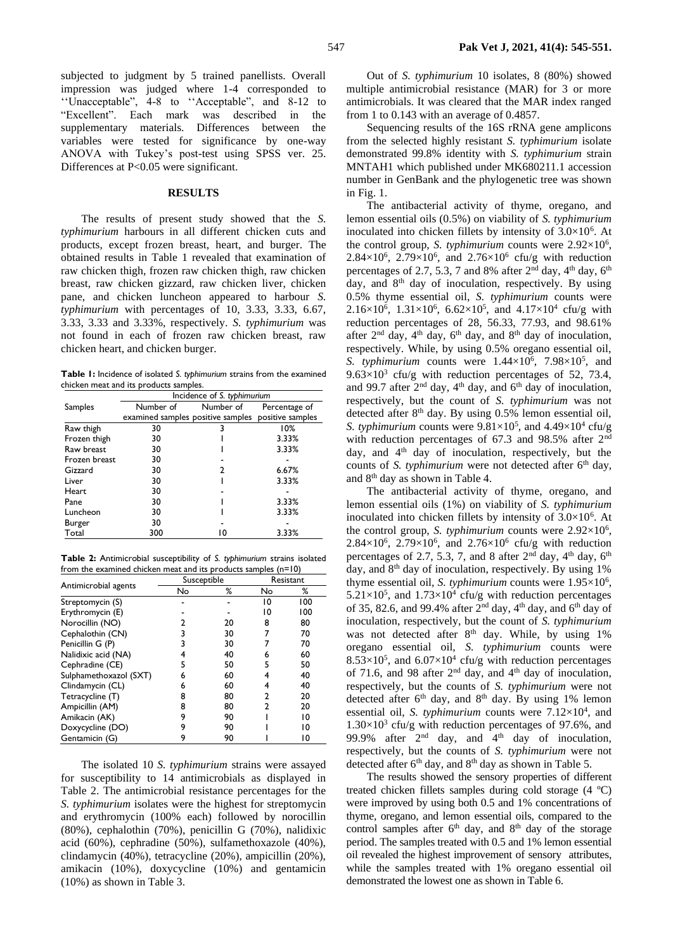subjected to judgment by 5 trained panellists. Overall impression was judged where 1-4 corresponded to ''Unacceptable", 4-8 to ''Acceptable", and 8-12 to "Excellent". Each mark was described in the supplementary materials. Differences between the variables were tested for significance by one-way ANOVA with Tukey's post-test using SPSS ver. 25. Differences at P<0.05 were significant.

### **RESULTS**

The results of present study showed that the *S. typhimurium* harbours in all different chicken cuts and products, except frozen breast, heart, and burger. The obtained results in Table 1 revealed that examination of raw chicken thigh, frozen raw chicken thigh, raw chicken breast, raw chicken gizzard, raw chicken liver, chicken pane, and chicken luncheon appeared to harbour *S. typhimurium* with percentages of 10, 3.33, 3.33, 6.67, 3.33, 3.33 and 3.33%, respectively. *S. typhimurium* was not found in each of frozen raw chicken breast, raw chicken heart, and chicken burger.

**Table 1:** Incidence of isolated *S. typhimurium* strains from the examined chicken meat and its products samples.

|               | Incidence of S. typhimurium                        |           |               |  |  |  |  |
|---------------|----------------------------------------------------|-----------|---------------|--|--|--|--|
| Samples       | Number of                                          | Number of | Percentage of |  |  |  |  |
|               | examined samples positive samples positive samples |           |               |  |  |  |  |
| Raw thigh     | 30                                                 |           | 10%           |  |  |  |  |
| Frozen thigh  | 30                                                 |           | 3.33%         |  |  |  |  |
| Raw breast    | 30                                                 |           | 3.33%         |  |  |  |  |
| Frozen breast | 30                                                 |           |               |  |  |  |  |
| Gizzard       | 30                                                 | 2         | 6.67%         |  |  |  |  |
| Liver         | 30                                                 |           | 3.33%         |  |  |  |  |
| <b>Heart</b>  | 30                                                 |           |               |  |  |  |  |
| Pane          | 30                                                 |           | 3.33%         |  |  |  |  |
| Luncheon      | 30                                                 |           | 3.33%         |  |  |  |  |
| Burger        | 30                                                 |           |               |  |  |  |  |
| Total         | 300                                                | 10        | 3.33%         |  |  |  |  |

**Table 2:** Antimicrobial susceptibility of *S. typhimurium* strains isolated from the examined chicken meat and its products samples (n=10)

|                        | Susceptible |    | Resistant |     |  |
|------------------------|-------------|----|-----------|-----|--|
| Antimicrobial agents   | No          | ℅  | No        | ℅   |  |
| Streptomycin (S)       |             |    | 10        | 100 |  |
| Erythromycin (E)       |             |    | 10        | 100 |  |
| Norocillin (NO)        |             | 20 | 8         | 80  |  |
| Cephalothin (CN)       | 3           | 30 |           | 70  |  |
| Penicillin G (P)       | 3           | 30 |           | 70  |  |
| Nalidixic acid (NA)    |             | 40 |           | 60  |  |
| Cephradine (CE)        | 5           | 50 |           | 50  |  |
| Sulphamethoxazol (SXT) | 6           | 60 |           | 40  |  |
| Clindamycin (CL)       | 6           | 60 |           | 40  |  |
| Tetracycline (T)       | 8           | 80 |           | 20  |  |
| Ampicillin (AM)        | 8           | 80 |           | 20  |  |
| Amikacin (AK)          | 9           | 90 |           | 10  |  |
| Doxycycline (DO)       | 9           | 90 |           | 10  |  |
| Gentamicin (G)         | 9           | 90 |           | 10  |  |

The isolated 10 *S. typhimurium* strains were assayed for susceptibility to 14 antimicrobials as displayed in Table 2. The antimicrobial resistance percentages for the *S. typhimurium* isolates were the highest for streptomycin and erythromycin (100% each) followed by norocillin (80%), cephalothin (70%), penicillin G (70%), nalidixic acid (60%), cephradine (50%), sulfamethoxazole (40%), clindamycin (40%), tetracycline (20%), ampicillin (20%), amikacin (10%), doxycycline (10%) and gentamicin (10%) as shown in Table 3.

Out of *S. typhimurium* 10 isolates, 8 (80%) showed multiple antimicrobial resistance (MAR) for 3 or more antimicrobials. It was cleared that the MAR index ranged from 1 to 0.143 with an average of 0.4857.

Sequencing results of the 16S rRNA gene amplicons from the selected highly resistant *S. typhimurium* isolate demonstrated 99.8% identity with *S. typhimurium* strain MNTAH1 which published under MK680211.1 accession number in GenBank and the phylogenetic tree was shown in Fig. 1.

The antibacterial activity of thyme, oregano, and lemon essential oils (0.5%) on viability of *S. typhimurium* inoculated into chicken fillets by intensity of  $3.0 \times 10^6$ . At the control group, *S. typhimurium* counts were 2.92×10<sup>6</sup> ,  $2.84 \times 10^6$ ,  $2.79 \times 10^6$ , and  $2.76 \times 10^6$  cfu/g with reduction percentages of 2.7, 5.3, 7 and 8% after  $2<sup>nd</sup>$  day,  $4<sup>th</sup>$  day,  $6<sup>th</sup>$ day, and 8<sup>th</sup> day of inoculation, respectively. By using 0.5% thyme essential oil, *S. typhimurium* counts were 2.16×10<sup>6</sup>, 1.31×10<sup>6</sup>, 6.62×10<sup>5</sup>, and 4.17×10<sup>4</sup> cfu/g with reduction percentages of 28, 56.33, 77.93, and 98.61% after  $2<sup>nd</sup>$  day,  $4<sup>th</sup>$  day,  $6<sup>th</sup>$  day, and  $8<sup>th</sup>$  day of inoculation, respectively. While, by using 0.5% oregano essential oil, S. typhimurium counts were  $1.44 \times 10^6$ ,  $7.98 \times 10^5$ , and  $9.63 \times 10^3$  cfu/g with reduction percentages of 52, 73.4, and 99.7 after  $2<sup>nd</sup>$  day,  $4<sup>th</sup>$  day, and  $6<sup>th</sup>$  day of inoculation, respectively, but the count of *S. typhimurium* was not detected after  $8<sup>th</sup>$  day. By using 0.5% lemon essential oil, *S. typhimurium* counts were  $9.81 \times 10^5$ , and  $4.49 \times 10^4$  cfu/g with reduction percentages of 67.3 and 98.5% after 2nd day, and 4<sup>th</sup> day of inoculation, respectively, but the counts of *S. typhimurium* were not detected after  $6<sup>th</sup>$  day, and 8th day as shown in Table 4.

The antibacterial activity of thyme, oregano, and lemon essential oils (1%) on viability of *S. typhimurium* inoculated into chicken fillets by intensity of  $3.0 \times 10^6$ . At the control group, *S. typhimurium* counts were 2.92×10<sup>6</sup> ,  $2.84 \times 10^6$ ,  $2.79 \times 10^6$ , and  $2.76 \times 10^6$  cfu/g with reduction percentages of 2.7, 5.3, 7, and 8 after  $2<sup>nd</sup>$  day,  $4<sup>th</sup>$  day,  $6<sup>th</sup>$ day, and 8th day of inoculation, respectively. By using 1% thyme essential oil, *S. typhimurium* counts were 1.95×10<sup>6</sup> ,  $5.21 \times 10^5$ , and  $1.73 \times 10^4$  cfu/g with reduction percentages of 35, 82.6, and 99.4% after  $2<sup>nd</sup>$  day,  $4<sup>th</sup>$  day, and  $6<sup>th</sup>$  day of inoculation, respectively, but the count of *S. typhimurium* was not detected after 8<sup>th</sup> day. While, by using 1% oregano essential oil, *S. typhimurium* counts were  $8.53 \times 10^5$ , and  $6.07 \times 10^4$  cfu/g with reduction percentages of 71.6, and 98 after  $2<sup>nd</sup>$  day, and  $4<sup>th</sup>$  day of inoculation, respectively, but the counts of *S. typhimurium* were not detected after  $6<sup>th</sup>$  day, and  $8<sup>th</sup>$  day. By using 1% lemon essential oil, *S. typhimurium* counts were  $7.12 \times 10^4$ , and  $1.30\times10^{3}$  cfu/g with reduction percentages of 97.6%, and 99.9% after 2nd day, and 4th day of inoculation, respectively, but the counts of *S. typhimurium* were not detected after 6<sup>th</sup> day, and 8<sup>th</sup> day as shown in Table 5.

The results showed the sensory properties of different treated chicken fillets samples during cold storage (4 ºC) were improved by using both 0.5 and 1% concentrations of thyme, oregano, and lemon essential oils, compared to the control samples after  $6<sup>th</sup>$  day, and  $8<sup>th</sup>$  day of the storage period. The samples treated with 0.5 and 1% lemon essential oil revealed the highest improvement of sensory attributes, while the samples treated with 1% oregano essential oil demonstrated the lowest one as shown in Table 6.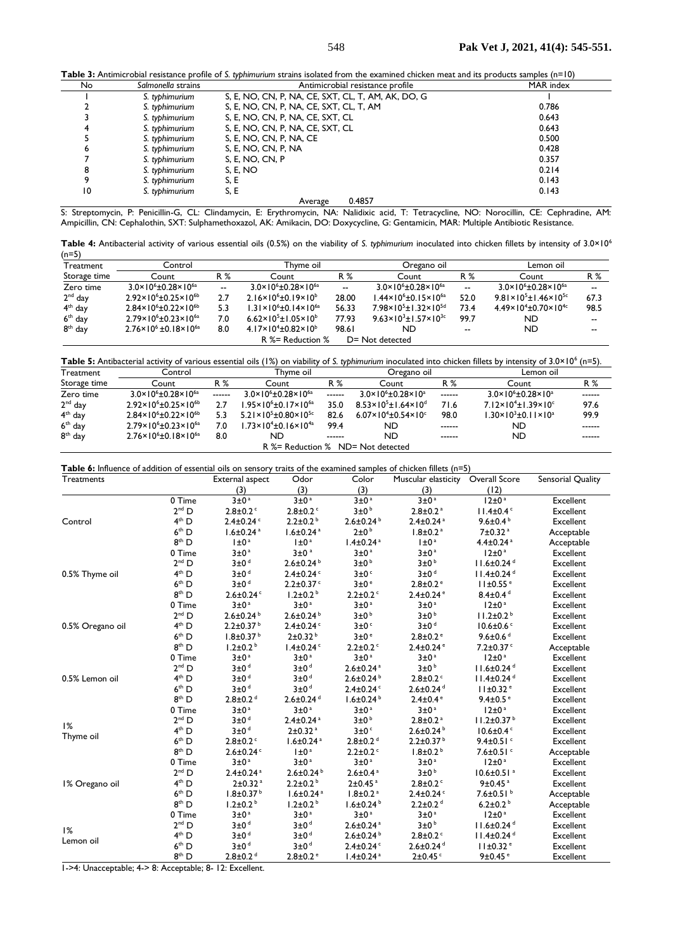**Table 3:** Antimicrobial resistance profile of *S. typhimurium* strains isolated from the examined chicken meat and its products samples (n=10)

| able 3: Antimicropial resistance profile of 5. typhimurium strains isolated from the examined chicken meat and its products samples (n–10) |                    |                                                    |           |  |  |  |  |
|--------------------------------------------------------------------------------------------------------------------------------------------|--------------------|----------------------------------------------------|-----------|--|--|--|--|
| No                                                                                                                                         | Salmonella strains | Antimicrobial resistance profile                   | MAR index |  |  |  |  |
|                                                                                                                                            | S. typhimurium     | S, E, NO, CN, P, NA, CE, SXT, CL, T, AM, AK, DO, G |           |  |  |  |  |
|                                                                                                                                            | S. typhimurium     | S, E, NO, CN, P, NA, CE, SXT, CL, T, AM            | 0.786     |  |  |  |  |
|                                                                                                                                            | S. typhimurium     | S, E, NO, CN, P, NA, CE, SXT, CL                   | 0.643     |  |  |  |  |
|                                                                                                                                            | S. typhimurium     | S, E, NO, CN, P, NA, CE, SXT, CL                   | 0.643     |  |  |  |  |
|                                                                                                                                            | S. typhimurium     | S, E, NO, CN, P, NA, CE                            | 0.500     |  |  |  |  |
| 6                                                                                                                                          | S. typhimurium     | S, E, NO, CN, P, NA                                | 0.428     |  |  |  |  |
|                                                                                                                                            | S. typhimurium     | S, E, NO, CN, P                                    | 0.357     |  |  |  |  |
| 8                                                                                                                                          | S. typhimurium     | S, E, NO                                           | 0.214     |  |  |  |  |
| 9                                                                                                                                          | S. typhimurium     | S. E                                               | 0.143     |  |  |  |  |
| 10                                                                                                                                         | S. typhimurium     | S, E                                               | 0.143     |  |  |  |  |
|                                                                                                                                            |                    | 0.4857<br>Average                                  |           |  |  |  |  |

S: Streptomycin, P: Penicillin-G, CL: Clindamycin, E: Erythromycin, NA: Nalidixic acid, T: Tetracycline, NO: Norocillin, CE: Cephradine, AM: Ampicillin, CN: Cephalothin, SXT: Sulphamethoxazol, AK: Amikacin, DO: Doxycycline, G: Gentamicin, MAR: Multiple Antibiotic Resistance.

**Table 4:** Antibacterial activity of various essential oils (0.5%) on the viability of *S. typhimurium* inoculated into chicken fillets by intensity of 3.0×10<sup>6</sup>  $(n=5)$ 

| Treatment           | Control                                      |     | Thvme oil                                    |                          | Oregano oil                                          |       | Lemon oil                                    |                          |
|---------------------|----------------------------------------------|-----|----------------------------------------------|--------------------------|------------------------------------------------------|-------|----------------------------------------------|--------------------------|
| Storage time        | Count                                        | R % | Count                                        | R %                      | Count                                                | R %   | Count                                        | R %                      |
| Zero time           | $3.0\times10^{6}$ ± 0.28 $\times10^{6}$      | --  | $3.0\times10^{6}$ ± 0.28 $\times10^{6}$      | $\overline{\phantom{a}}$ | $3.0\times10^{6}$ ± 0.28 $\times10^{6}$ <sup>a</sup> | --    | $3.0\times10^{6}$ ± 0.28 $\times10^{6a}$     | $\overline{\phantom{a}}$ |
| $2nd$ day           | $2.92 \times 10^{6} \pm 0.25 \times 10^{6}$  | 2.7 | $2.16 \times 10^{6} \pm 0.19 \times 10^{6}$  | 28.00                    | $1.44 \times 10^{6} \pm 0.15 \times 10^{6a}$         | 52.0  | $9.81 \times 10^{5} \pm 1.46 \times 10^{5c}$ | 67.3                     |
| 4 <sup>th</sup> day | $2.84 \times 10^{6} \pm 0.22 \times 10^{6}$  | 5.3 | $1.31 \times 10^{6} \pm 0.14 \times 10^{6a}$ | 56.33                    | $7.98 \times 10^{5} \pm 1.32 \times 10^{5d}$         | 73.4  | $4.49\times10^{4}$ ± 0.70 $\times10^{4}$ c   | 98.5                     |
| $6th$ day           | $2.79 \times 10^{6} \pm 0.23 \times 10^{6a}$ | 7.0 | $6.62 \times 10^{5} \pm 1.05 \times 10^{6}$  | 77.93                    | $9.63 \times 10^{3} \pm 1.57 \times 10^{3c}$         | 99.7  | <b>ND</b>                                    | $- -$                    |
| $8th$ day           | $2.76 \times 10^6 \pm 0.18 \times 10^{6a}$   | 8.0 | $4.17\times10^{4}$ ± 0.82 $\times10^{6}$     | 98.61                    | ND                                                   | $- -$ | <b>ND</b>                                    | --                       |
|                     |                                              |     | R %= Reduction %                             |                          | D= Not detected                                      |       |                                              |                          |

Table 5: Antibacterial activity of various essential oils (1%) on viability of S. typhimurium inoculated into chicken fillets by intensity of 3.0×10<sup>6</sup> (n=5).

| Treatment    | Control                                      |        | Thyme oil                                    |        | Oregano oil                                 |        | Lemon oil                                   |        |
|--------------|----------------------------------------------|--------|----------------------------------------------|--------|---------------------------------------------|--------|---------------------------------------------|--------|
| Storage time | Count                                        | R %    | Count                                        | R %    | Count                                       | R %    | Count                                       | R %    |
| Zero time    | $3.0\times10^{6}$ ± 0.28 $\times10^{6}$      | ------ | $3.0\times10^{6}$ ± 0.28 $\times10^{6}$      | ------ | $3.0 \times 10^{6} \pm 0.28 \times 10^{a}$  | ------ | $3.0\times10^{6}$ ± 0.28 $\times10^{a}$     | ------ |
| $2nd$ day    | $2.92 \times 10^{6} \pm 0.25 \times 10^{6}$  | 2.7    | $1.95 \times 10^{6} \pm 0.17 \times 10^{6a}$ | 35.0   | $8.53 \times 10^{5} \pm 1.64 \times 10^{d}$ | 71.6   | $7.12\times10^{4}$ ±1.39×10 <sup>c</sup>    | 97.6   |
| $4th$ day    | $2.84 \times 10^{6} \pm 0.22 \times 10^{6}$  | 5.3    | $5.21 \times 10^{5} \pm 0.80 \times 10^{5c}$ | 82.6   | $6.07 \times 10^{4} \pm 0.54 \times 10^{c}$ | 98.0   | $1.30 \times 10^{3} \pm 0.11 \times 10^{3}$ | 99.9   |
| $6th$ day    | $2.79 \times 10^{6} \pm 0.23 \times 10^{6a}$ | 7.0    | $1.73 \times 10^{4} \pm 0.16 \times 10^{4a}$ | 99.4   | ND.                                         | ------ | ND.                                         | ------ |
| $8th$ day    | $2.76 \times 10^{6} \pm 0.18 \times 10^{6a}$ | 8.0    | ND                                           | ------ | <b>ND</b>                                   | ------ | <b>ND</b>                                   | ------ |
|              |                                              |        |                                              |        | R %= Reduction % ND= Not detected           |        |                                             |        |

| Treatments       |                   | External aspect             | Odor                        | Color                       | Muscular elasticity Overall Score |                              | Sensorial Quality |
|------------------|-------------------|-----------------------------|-----------------------------|-----------------------------|-----------------------------------|------------------------------|-------------------|
|                  |                   | (3)                         | (3)                         | (3)                         | (3)                               | (12)                         |                   |
|                  | 0 Time            | 3±0 <sup>a</sup>            | 3±0 <sup>a</sup>            | 3±0 <sup>a</sup>            | 3±0 <sup>a</sup>                  | $12 \pm 0^a$                 | Excellent         |
|                  | $2^{nd}$ D        | $2.8 \pm 0.2$               | $2.8 \pm 0.2$               | $3\pm0$ <sup>b</sup>        | $2.8 \pm 0.2$ <sup>a</sup>        | $11.4 \pm 0.4$ <sup>c</sup>  | Excellent         |
| Control          | 4 <sup>th</sup> D | $2.4 \pm 0.24$              | $2.2 \pm 0.2$               | $2.6 \pm 0.24$              | $2.4 \pm 0.24$ <sup>a</sup>       | 9.6 $\pm$ 0.4 $b$            | Excellent         |
|                  | $6th$ D           | $1.6 \pm 0.24$ <sup>a</sup> | $1.6 \pm 0.24$ <sup>a</sup> | $2\pm0$ <sup>b</sup>        | $1.8 \pm 0.2$ <sup>a</sup>        | 7±0.32 <sup>a</sup>          | Acceptable        |
|                  | 8 <sup>th</sup> D | $1 \pm 0^a$                 | $1 \pm 0^a$                 | $1.4 \pm 0.24$ <sup>a</sup> | $1 \pm 0^a$                       | $4.4 \pm 0.24$ <sup>a</sup>  | Acceptable        |
|                  | 0 Time            | 3±0 <sup>a</sup>            | 3±0 <sup>a</sup>            | 3±0 <sup>a</sup>            | 3±0 <sup>a</sup>                  | 12±0 <sup>a</sup>            | Excellent         |
|                  | 2 <sup>nd</sup> D | 3±0 <sup>d</sup>            | $2.6 \pm 0.24$              | $3\pm0$ <sup>b</sup>        | 3±0 <sup>b</sup>                  | $11.6 \pm 0.24$ <sup>d</sup> | Excellent         |
| 0.5% Thyme oil   | 4 <sup>th</sup> D | 3±0 <sup>d</sup>            | $2.4 \pm 0.24$ <sup>c</sup> | 3±0°                        | 3±0 <sup>d</sup>                  | $11.4 \pm 0.24$ <sup>d</sup> | Excellent         |
|                  | 6 <sup>th</sup> D | 3±0 <sup>d</sup>            | $2.2 \pm 0.37$ c            | 3±0 <sup>e</sup>            | $2.8 \pm 0.2$ <sup>e</sup>        | $11 \pm 0.55$ <sup>e</sup>   | Excellent         |
|                  | $8th$ D           | $2.6 \pm 0.24$              | $1.2 \pm 0.2^{\circ}$       | $2.2 \pm 0.2$               | $2.4 \pm 0.24$ <sup>e</sup>       | $8.4 \pm 0.4$ <sup>d</sup>   | Excellent         |
|                  | 0 Time            | 3±0 <sup>a</sup>            | 3±0 <sup>a</sup>            | 3±0 <sup>a</sup>            | 3±0 <sup>a</sup>                  | $12 \pm 0^a$                 | Excellent         |
|                  | 2 <sup>nd</sup> D | $2.6 \pm 0.24$              | $2.6 \pm 0.24^{b}$          | $3\pm0^{b}$                 | 3±0 <sup>b</sup>                  | $11.2 \pm 0.2^b$             | Excellent         |
| 0.5% Oregano oil | 4 <sup>th</sup> D | $2.2 \pm 0.37$ <sup>b</sup> | $2.4 \pm 0.24$              | 3±0°                        | 3±0 <sup>d</sup>                  | $10.6 \pm 0.6$ <sup>c</sup>  | Excellent         |
|                  | 6 <sup>th</sup> D | $1.8 \pm 0.37$ <sup>b</sup> | $2\pm0.32^{b}$              | 3±0 <sup>e</sup>            | $2.8 \pm 0.2$ <sup>e</sup>        | $9.6 \pm 0.6$ <sup>d</sup>   | Excellent         |
|                  | 8 <sup>th</sup> D | $1.2 \pm 0.2^{\circ}$       | $1.4\pm0.24$ <sup>c</sup>   | $2.2 \pm 0.2$               | $2.4 \pm 0.24$ <sup>e</sup>       | $7.2 \pm 0.37$ c             | Acceptable        |
|                  | 0 Time            | 3±0 <sup>a</sup>            | 3±0 <sup>a</sup>            | 3±0 <sup>a</sup>            | 3±0 <sup>a</sup>                  | 12±0 <sup>a</sup>            | Excellent         |
|                  | $2^{nd}$ D        | 3±0 <sup>d</sup>            | 3±0 <sup>d</sup>            | $2.6 \pm 0.24$ <sup>a</sup> | 3±0 <sup>b</sup>                  | $11.6 \pm 0.24$ <sup>d</sup> | Excellent         |
| 0.5% Lemon oil   | 4 <sup>th</sup> D | 3±0 <sup>d</sup>            | 3±0 <sup>d</sup>            | $2.6 \pm 0.24$              | $2.8 \pm 0.2$                     | $11.4 \pm 0.24$ <sup>d</sup> | Excellent         |
|                  | 6 <sup>th</sup> D | 3±0 <sup>d</sup>            | 3±0 <sup>d</sup>            | $2.4 \pm 0.24$              | $2.6 \pm 0.24$ <sup>d</sup>       | $11 \pm 0.32$ <sup>e</sup>   | Excellent         |
|                  | $8th$ D           | $2.8 \pm 0.2$ <sup>d</sup>  | $2.6 \pm 0.24$ <sup>d</sup> | $1.6 \pm 0.24$              | $2.4 \pm 0.4$ <sup>e</sup>        | 9.4 $\pm$ 0.5 $e$            | Excellent         |
|                  | 0 Time            | 3±0 <sup>a</sup>            | 3±0 <sup>a</sup>            | 3±0 <sup>a</sup>            | 3±0 <sup>a</sup>                  | 12±0 <sup>a</sup>            | Excellent         |
|                  | 2 <sup>nd</sup> D | $3\pm0$ <sup>d</sup>        | $2.4 \pm 0.24$ <sup>a</sup> | $3\pm0^{b}$                 | $2.8 \pm 0.2$ <sup>a</sup>        | $11.2 \pm 0.37$ <sup>b</sup> | Excellent         |
| 1%               | $4th$ D           | 3±0 <sup>d</sup>            | $2 \pm 0.32$ <sup>a</sup>   | 3±0°                        | $2.6 \pm 0.24$                    | $10.6 \pm 0.4$ <sup>c</sup>  | Excellent         |
| Thyme oil        | 6 <sup>th</sup> D | $2.8 \pm 0.2$               | $1.6 \pm 0.24$ <sup>a</sup> | $2.8 \pm 0.2$ <sup>d</sup>  | $2.2 \pm 0.37$ <sup>b</sup>       | $9.4 \pm 0.51$ <sup>c</sup>  | Excellent         |
|                  | 8 <sup>th</sup> D | $2.6 \pm 0.24$ <sup>c</sup> | $1 \pm 0^a$                 | $2.2 \pm 0.2$               | $1.8 \pm 0.2^{b}$                 | $7.6 \pm 0.51$ <sup>c</sup>  | Acceptable        |
|                  | 0 Time            | 3±0 <sup>a</sup>            | 3±0 <sup>a</sup>            | 3±0 <sup>a</sup>            | 3±0 <sup>a</sup>                  | $12 \pm 0^a$                 | Excellent         |
|                  | $2^{nd}$ D        | $2.4 \pm 0.24$ <sup>a</sup> | $2.6 \pm 0.24$              | $2.6 \pm 0.4$ <sup>a</sup>  | 3±0 <sup>b</sup>                  | $10.6 \pm 0.51$ <sup>a</sup> | Excellent         |
| 1% Oregano oil   | 4 <sup>th</sup> D | $2 \pm 0.32$ <sup>a</sup>   | $2.2 \pm 0.2$               | $2 \pm 0.45$ <sup>a</sup>   | $2.8 \pm 0.2$                     | $9 \pm 0.45$ <sup>a</sup>    | Excellent         |
|                  | 6 <sup>th</sup> D | $1.8 \pm 0.37$ <sup>b</sup> | $1.6 \pm 0.24$ <sup>a</sup> | $1.8 \pm 0.2$ <sup>a</sup>  | $2.4 \pm 0.24$                    | $7.6 \pm 0.51$               | Acceptable        |
|                  | 8 <sup>th</sup> D | $1.2 \pm 0.2^{\circ}$       | $1.2 \pm 0.2^{\text{b}}$    | $1.6 \pm 0.24$              | $2.2 \pm 0.2$ <sup>d</sup>        | $6.2 \pm 0.2$                | Acceptable        |
|                  | 0 Time            | 3±0 <sup>a</sup>            | 3±0 <sup>a</sup>            | 3±0 <sup>a</sup>            | 3±0 <sup>a</sup>                  | $12 \pm 0^a$                 | Excellent         |
|                  | 2 <sup>nd</sup> D | $3\pm0$ <sup>d</sup>        | 3±0 <sup>d</sup>            | $2.6 \pm 0.24$ <sup>a</sup> | 3±0 <sup>b</sup>                  | $11.6 \pm 0.24$ <sup>d</sup> | Excellent         |
| 1%               | 4 <sup>th</sup> D | $3\pm0$ <sup>d</sup>        | 3±0 <sup>d</sup>            | $2.6 \pm 0.24$              | $2.8 \pm 0.2$                     | $11.4 \pm 0.24$ <sup>d</sup> | Excellent         |
| Lemon oil        | $6th$ D           | 3±0 <sup>d</sup>            | 3±0 <sup>d</sup>            | $2.4 \pm 0.24$              | $2.6 \pm 0.24$ <sup>d</sup>       | 11±0.32 <sup>e</sup>         | Excellent         |
|                  | $8th$ D           | $2.8 \pm 0.2$ <sup>d</sup>  | $2.8 \pm 0.2$ <sup>e</sup>  | $1.4 \pm 0.24$ <sup>a</sup> | $2\pm0.45$                        | $9\pm0.45$ $^{\circ}$        | Excellent         |

1->4: Unacceptable; 4-> 8: Acceptable; 8- 12: Excellent.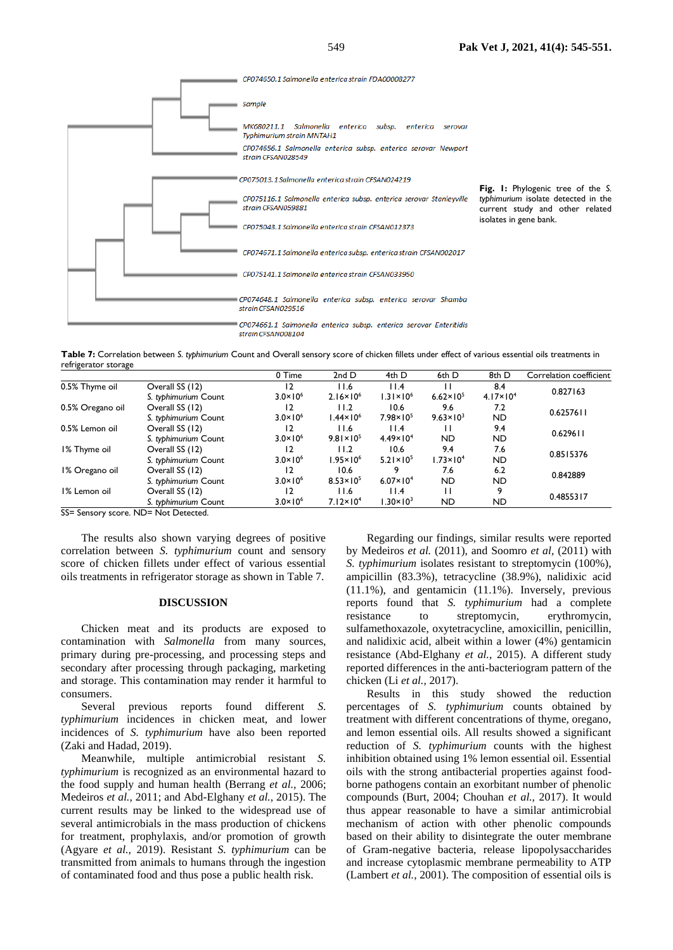

**Table 7:** Correlation between *S. typhimurium* Count and Overall sensory score of chicken fillets under effect of various essential oils treatments in refrigerator storage

|                  |                      | 0 Time              | 2ndD                 | 4th D                | 6th D                | 8th D                | Correlation coefficient |
|------------------|----------------------|---------------------|----------------------|----------------------|----------------------|----------------------|-------------------------|
| 0.5% Thyme oil   | Overall SS (12)      | 12                  | 11.6                 | 11.4                 |                      | 8.4                  | 0.827163                |
|                  | S. typhimurium Count | $3.0 \times 10^{6}$ | $2.16 \times 10^{6}$ | $1.31 \times 10^{6}$ | $6.62 \times 10^{5}$ | $4.17 \times 10^{4}$ |                         |
| 0.5% Oregano oil | Overall SS (12)      | 12                  | 11.2                 | 10.6                 | 9.6                  | 7.2                  | 0.6257611               |
|                  | S. typhimurium Count | $3.0 \times 10^{6}$ | $.44 \times 10^{6}$  | $7.98 \times 10^{5}$ | $9.63 \times 10^{3}$ | <b>ND</b>            |                         |
| 0.5% Lemon oil   | Overall SS (12)      | 12                  | 11.6                 | 11.4                 | н                    | 9.4                  | 0.629611                |
|                  | S. typhimurium Count | $3.0 \times 10^6$   | $9.81 \times 10^{5}$ | $4.49 \times 10^{4}$ | <b>ND</b>            | <b>ND</b>            |                         |
| I% Thyme oil     | Overall SS (12)      | 12                  | 11.2                 | 10.6                 | 9.4                  | 7.6                  | 0.8515376               |
|                  | S. typhimurium Count | $3.0 \times 10^{6}$ | $.95 \times 10^{6}$  | $5.21 \times 10^{5}$ | $1.73 \times 10^{4}$ | <b>ND</b>            |                         |
| 1% Oregano oil   | Overall SS (12)      | 12                  | 10.6                 |                      | 7.6                  | 6.2                  | 0.842889                |
|                  | S. typhimurium Count | $3.0 \times 10^{6}$ | $8.53 \times 10^{5}$ | $6.07 \times 10^{4}$ | <b>ND</b>            | ND.                  |                         |
| 1% Lemon oil     | Overall SS (12)      | 12                  | 11.6                 | 11.4                 | П                    |                      | 0.4855317               |
|                  | S. typhimurium Count | $3.0 \times 10^{6}$ | $7.12 \times 10^4$   | $1.30 \times 10^3$   | <b>ND</b>            | <b>ND</b>            |                         |
| $- -$            |                      |                     |                      |                      |                      |                      |                         |

SS= Sensory score. ND= Not Detected.

The results also shown varying degrees of positive correlation between *S. typhimurium* count and sensory score of chicken fillets under effect of various essential oils treatments in refrigerator storage as shown in Table 7.

## **DISCUSSION**

Chicken meat and its products are exposed to contamination with *Salmonella* from many sources, primary during pre-processing, and processing steps and secondary after processing through packaging, marketing and storage. This contamination may render it harmful to consumers.

Several previous reports found different *S. typhimurium* incidences in chicken meat, and lower incidences of *S. typhimurium* have also been reported [\(Zaki and Hadad, 2019\).](https://paperpile.com/c/e3NEDd/6IVjN)

Meanwhile, multiple antimicrobial resistant *S. typhimurium* is recognized as an environmental hazard to the food supply and human health [\(Berrang](https://paperpile.com/c/e3NEDd/b6uhu+1884Q+Ip0uI) *et al.,* 2006; Medeiros *et al.,* [2011; and Abd-Elghany](https://paperpile.com/c/e3NEDd/b6uhu+1884Q+Ip0uI) *et al.,* 2015). The current results may be linked to the widespread use of several antimicrobials in the mass production of chickens for treatment, prophylaxis, and/or promotion of growth [\(Agyare](https://paperpile.com/c/e3NEDd/EviKr+qxeGW+JaZzd) *et al.,* 2019). Resistant *S. typhimurium* can be transmitted from animals to humans through the ingestion of contaminated food and thus pose a public health risk.

Regarding our findings, similar results were reported by Medeiros *et al.* (2011), and Soomro *et al,* (2011) with *S. typhimurium* isolates resistant to streptomycin (100%), ampicillin (83.3%), tetracycline (38.9%), nalidixic acid (11.1%), and gentamicin (11.1%). Inversely, previous reports found that *S. typhimurium* had a complete resistance to streptomycin, erythromycin, sulfamethoxazole, oxytetracycline, amoxicillin, penicillin, and nalidixic acid, albeit within a lower (4%) gentamicin resistance [\(Abd-Elghany](https://paperpile.com/c/e3NEDd/b6uhu) *et al.,* 2015). A different study reported differences in the anti-bacteriogram pattern of the chicken (Li *et al.,* [2017\).](https://paperpile.com/c/e3NEDd/RxKM6+8hSLC+pKDS4)

Results in this study showed the reduction percentages of *S. typhimurium* counts obtained by treatment with different concentrations of thyme, oregano, and lemon essential oils. All results showed a significant reduction of *S. typhimurium* counts with the highest inhibition obtained using 1% lemon essential oil. Essential oils with the strong antibacterial properties against foodborne pathogens contain an exorbitant number of phenolic compounds [\(Burt, 2004; Chouhan](https://paperpile.com/c/e3NEDd/s8uro+64Ded+wWY1m) *et al.,* 2017). It would thus appear reasonable to have a similar antimicrobial mechanism of action with other phenolic compounds based on their ability to disintegrate the outer membrane of Gram-negative bacteria, release lipopolysaccharides and increase cytoplasmic membrane permeability to ATP [\(Lambert](https://paperpile.com/c/e3NEDd/7UMmM) *et al.,* 2001). The composition of essential oils is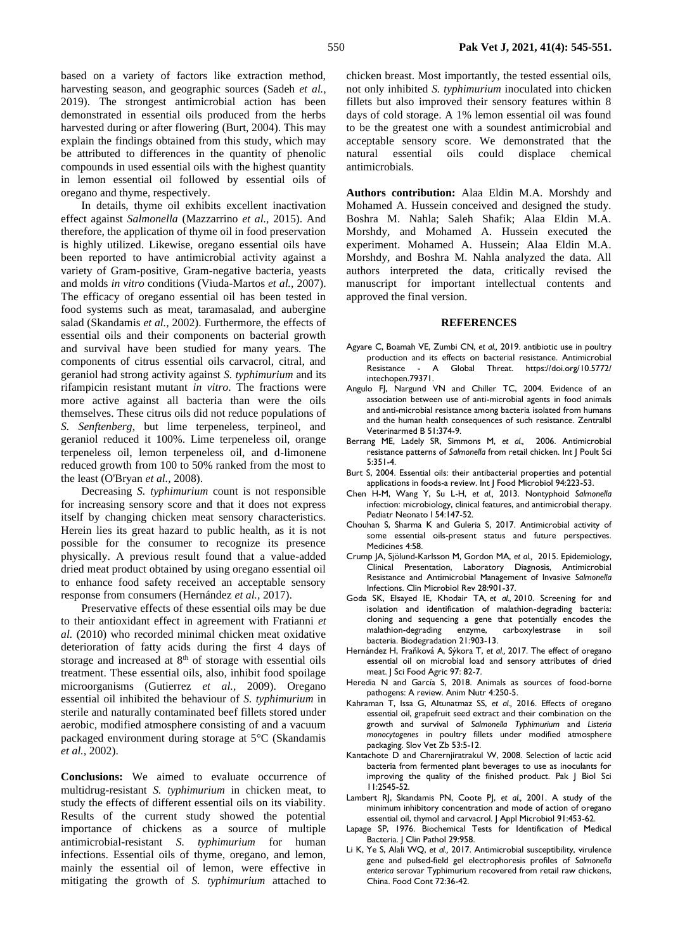based on a variety of factors like extraction method, harvesting season, and geographic sources [\(Sadeh](https://paperpile.com/c/e3NEDd/siVJa+lcj2g) *et al.,* [2019\).](https://paperpile.com/c/e3NEDd/siVJa+lcj2g) The strongest antimicrobial action has been demonstrated in essential oils produced from the herbs harvested during or after flowering [\(Burt, 2004\).](https://paperpile.com/c/e3NEDd/s8uro) This may explain the findings obtained from this study, which may be attributed to differences in the quantity of phenolic compounds in used essential oils with the highest quantity in lemon essential oil followed by essential oils of oregano and thyme, respectively.

In details, thyme oil exhibits excellent inactivation effect against *Salmonella* (Mazzarrino *et al.,* 2015). And therefore, the application of thyme oil in food preservation is highly utilized. Likewise, oregano essential oils have been reported to have antimicrobial activity against a variety of Gram-positive, Gram-negative bacteria, yeasts and molds *in vitro* conditions (Viuda-Martos *et al.,* 2007). The efficacy of oregano essential oil has been tested in food systems such as meat, taramasalad, and aubergine salad (Skandamis *et al.,* 2002). Furthermore, the effects of essential oils and their components on bacterial growth and survival have been studied for many years. The components of citrus essential oils carvacrol, citral, and geraniol had strong activity against *S. typhimurium* and its rifampicin resistant mutant *in vitro*. The fractions were more active against all bacteria than were the oils themselves. These citrus oils did not reduce populations of *S. Senftenberg*, but lime terpeneless, terpineol, and geraniol reduced it 100%. Lime terpeneless oil, orange terpeneless oil, lemon terpeneless oil, and d-limonene reduced growth from 100 to 50% ranked from the most to the least (O'Bryan *et al.,* 2008).

Decreasing *S. typhimurium* count is not responsible for increasing sensory score and that it does not express itself by changing chicken meat sensory characteristics. Herein lies its great hazard to public health, as it is not possible for the consumer to recognize its presence physically. A previous result found that a value-added dried meat product obtained by using oregano essential oil to enhance food safety received an acceptable sensory response from consumers (Hernández *et al.,* 2017).

Preservative effects of these essential oils may be due to their antioxidant effect in agreement with Fratianni *et al.* (2010) who recorded minimal chicken meat oxidative deterioration of fatty acids during the first 4 days of storage and increased at 8<sup>th</sup> of storage with essential oils treatment. These essential oils, also, inhibit food spoilage microorganisms (Gutierrez *et al.,* 2009). Oregano essential oil inhibited the behaviour of *S. typhimurium* in sterile and naturally contaminated beef fillets stored under aerobic, modified atmosphere consisting of and a vacuum packaged environment during storage at 5°C (Skandamis *et al.,* 2002).

**Conclusions:** We aimed to evaluate occurrence of multidrug-resistant *S. typhimurium* in chicken meat, to study the effects of different essential oils on its viability. Results of the current study showed the potential importance of chickens as a source of multiple antimicrobial-resistant *S. typhimurium* for human infections. Essential oils of thyme, oregano, and lemon, mainly the essential oil of lemon, were effective in mitigating the growth of *S. typhimurium* attached to chicken breast. Most importantly, the tested essential oils, not only inhibited *S. typhimurium* inoculated into chicken fillets but also improved their sensory features within 8 days of cold storage. A 1% lemon essential oil was found to be the greatest one with a soundest antimicrobial and acceptable sensory score. We demonstrated that the natural essential oils could displace chemical antimicrobials.

**Authors contribution:** Alaa Eldin M.A. Morshdy and Mohamed A. Hussein conceived and designed the study. Boshra M. Nahla; Saleh Shafik; Alaa Eldin M.A. Morshdy, and Mohamed A. Hussein executed the experiment. Mohamed A. Hussein; Alaa Eldin M.A. Morshdy, and Boshra M. Nahla analyzed the data. All authors interpreted the data, critically revised the manuscript for important intellectual contents and approved the final version.

#### **REFERENCES**

- Agyare C, Boamah VE, Zumbi CN, *et al.,* 2019. antibiotic use in poultry production and its effects on bacterial resistance. Antimicrobial Resistance - A Global Threat. https://doi.or[g/10.5772/](http://dx.doi.org/10.5772/intechopen.79371) [intechopen.79371.](http://dx.doi.org/10.5772/intechopen.79371)
- [Angulo FJ, Nargund VN and Chiller TC, 2004. Evidence of an](http://paperpile.com/b/e3NEDd/W5J32)  [association between use of anti-microbial agents in food animals](http://paperpile.com/b/e3NEDd/W5J32)  [and anti-microbial resistance among bacteria isolated from humans](http://paperpile.com/b/e3NEDd/W5J32)  [and the human health consequences of such resistance. Zentralbl](http://paperpile.com/b/e3NEDd/W5J32)  [Veterinarmed B 51:374-9.](http://paperpile.com/b/e3NEDd/W5J32)
- [Berrang ME, Ladely SR, Simmons M,](http://paperpile.com/b/e3NEDd/Ip0uI) *[et al.,](http://paperpile.com/b/e3NEDd/JaZzd)* 2006. [Antimicrobial](http://paperpile.com/b/e3NEDd/Ip0uI)  [resistance patterns of](http://paperpile.com/b/e3NEDd/Ip0uI) *Salmonella* from retail chicken. Int J Poult Sci 5:351-4.
- [Burt S, 2004. Essential oils: their antibacterial properties and potential](http://paperpile.com/b/e3NEDd/s8uro)  [applications in foods-a review. Int J Food Microbiol 94:223-53.](http://paperpile.com/b/e3NEDd/s8uro)
- [Chen H-M, Wang Y, Su L-H,](http://paperpile.com/b/e3NEDd/maZa7) *[et al.,](http://paperpile.com/b/e3NEDd/JaZzd)* [2013. Nontyphoid](http://paperpile.com/b/e3NEDd/maZa7) *Salmonella* [infection: microbiology, clinical features, and antimicrobial therapy.](http://paperpile.com/b/e3NEDd/maZa7)  Pediatr Neonato | 54:147-52.
- Chouhan S, Sharma K and Guleria S, 2017. Antimicrobial activity of some essential oils-present status and future perspectives. Medicines 4:58.
- [Crump JA, Sjölund-Karlsson M, Gordon MA,](http://paperpile.com/b/e3NEDd/L7o6z) *[et al.,](http://paperpile.com/b/e3NEDd/JaZzd)* 2015[. Epidemiology,](http://paperpile.com/b/e3NEDd/L7o6z)  [Clinical Presentation, Laboratory Diagnosis, Antimicrobial](http://paperpile.com/b/e3NEDd/L7o6z)  Resistance [and Antimicrobial Management of Invasive](http://paperpile.com/b/e3NEDd/L7o6z) *Salmonella* [Infections. Clin Microbiol Rev 28:901-37.](http://paperpile.com/b/e3NEDd/L7o6z)
- Goda SK, Elsayed IE, Khodair TA, *et al.,* 2010. Screening for and isolation and identification of malathion-degrading bacteria: cloning and sequencing a gene that potentially encodes the malathion-degrading enzyme, carboxylestrase in soil bacteria. Biodegradation 21:903-13.
- Hernández H, Fraňková A, Sýkora T, *et al.,* 2017. The effect of oregano essential oil on microbial load and sensory attributes of dried meat. J Sci Food Agric 97: 82-7.
- [Heredia N and García S, 2018. Animals as sources of food-borne](http://paperpile.com/b/e3NEDd/tlEiD)  [pathogens: A review. Anim Nutr 4:250-5.](http://paperpile.com/b/e3NEDd/tlEiD)
- [Kahraman T, Issa G, Altunatmaz SS,](http://paperpile.com/b/e3NEDd/HipzE) *et al.,* 2016. Effects of oregano [essential oil, grapefruit seed extract and their combination on the](http://paperpile.com/b/e3NEDd/HipzE)  [growth and survival of](http://paperpile.com/b/e3NEDd/HipzE) *Salmonella Typhimurium* and *Listeria monocytogenes* in poultry fillets [under modified atmosphere](http://paperpile.com/b/e3NEDd/HipzE)  [packaging. Slov Vet Zb 53:5-12.](http://paperpile.com/b/e3NEDd/HipzE)
- [Kantachote D and Charernjiratrakul W, 2008. Selection of lactic acid](http://paperpile.com/b/e3NEDd/ExFeT)  [bacteria from fermented plant beverages to use as inoculants for](http://paperpile.com/b/e3NEDd/ExFeT)  [improving the quality of the finished product. Pak J Biol Sci](http://paperpile.com/b/e3NEDd/ExFeT)  [11:2545-52.](http://paperpile.com/b/e3NEDd/ExFeT)
- [Lambert RJ, Skandamis PN, Coote PJ,](http://paperpile.com/b/e3NEDd/7UMmM) *[et al.,](http://paperpile.com/b/e3NEDd/JaZzd)* 2001. [A study of the](http://paperpile.com/b/e3NEDd/7UMmM)  [minimum inhibitory concentration and mode of action of oregano](http://paperpile.com/b/e3NEDd/7UMmM)  [essential oil, thymol and carvacrol. J Appl Microbiol 91:453-62.](http://paperpile.com/b/e3NEDd/7UMmM)
- [Lapage SP, 1976. Biochemical Tests for Identification of Medical](http://paperpile.com/b/e3NEDd/kB1T8)  Bacteria. | Clin Pathol 29:958.
- Li K, Ye S, Alali WQ, *et al.,* [2017. Antimicrobial susceptibility, virulence](http://paperpile.com/b/e3NEDd/pKDS4)  [gene and pulsed-field gel electrophoresis profiles of](http://paperpile.com/b/e3NEDd/pKDS4) *Salmonella enterica* [serovar Typhimurium recovered from retail raw chickens,](http://paperpile.com/b/e3NEDd/pKDS4)  [China. Food Cont 72:36-42.](http://paperpile.com/b/e3NEDd/pKDS4)